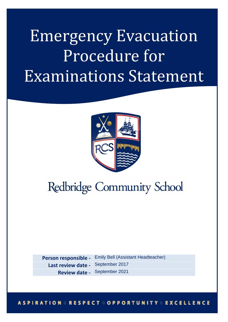## Emergency Evacuation Procedure for Examinations Statement



## **Redbridge Community School**

**Person responsible -** Emily Bell (Assistant Headteacher) **Last review date -** September 2017

**Review date -** September 2021

## **ASPIRATION ORESPECT OOPPORTUNITY O** EXCELLENCE